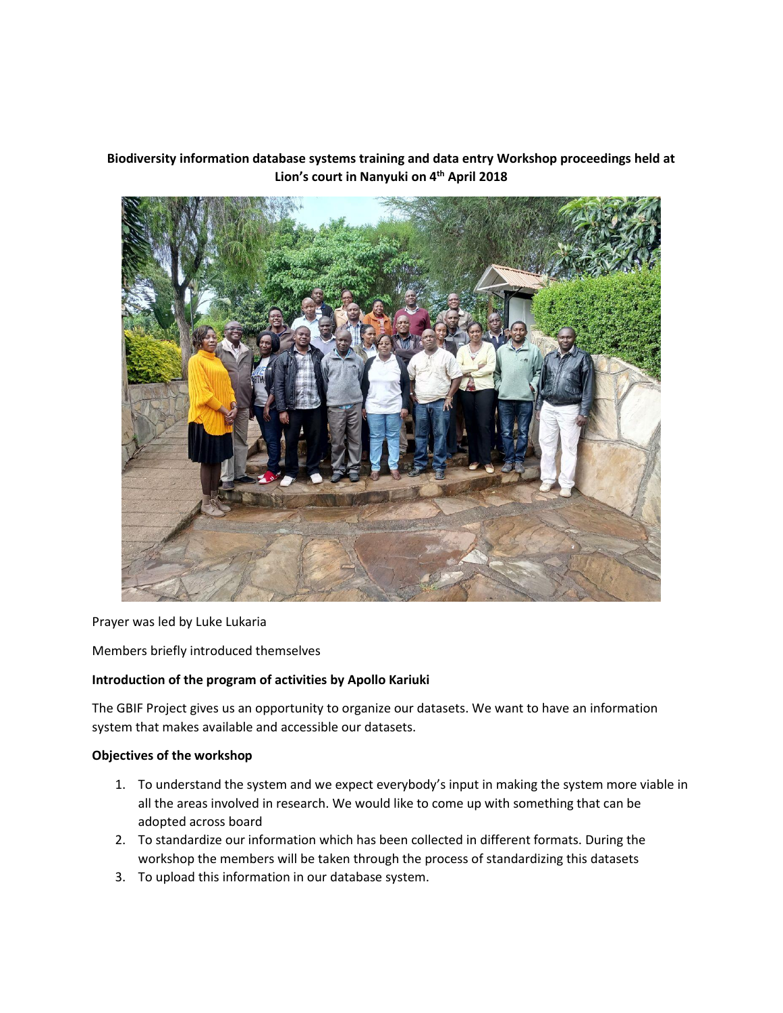**Biodiversity information database systems training and data entry Workshop proceedings held at Lion's court in Nanyuki on 4th April 2018**



Prayer was led by Luke Lukaria

Members briefly introduced themselves

## **Introduction of the program of activities by Apollo Kariuki**

The GBIF Project gives us an opportunity to organize our datasets. We want to have an information system that makes available and accessible our datasets.

## **Objectives of the workshop**

- 1. To understand the system and we expect everybody's input in making the system more viable in all the areas involved in research. We would like to come up with something that can be adopted across board
- 2. To standardize our information which has been collected in different formats. During the workshop the members will be taken through the process of standardizing this datasets
- 3. To upload this information in our database system.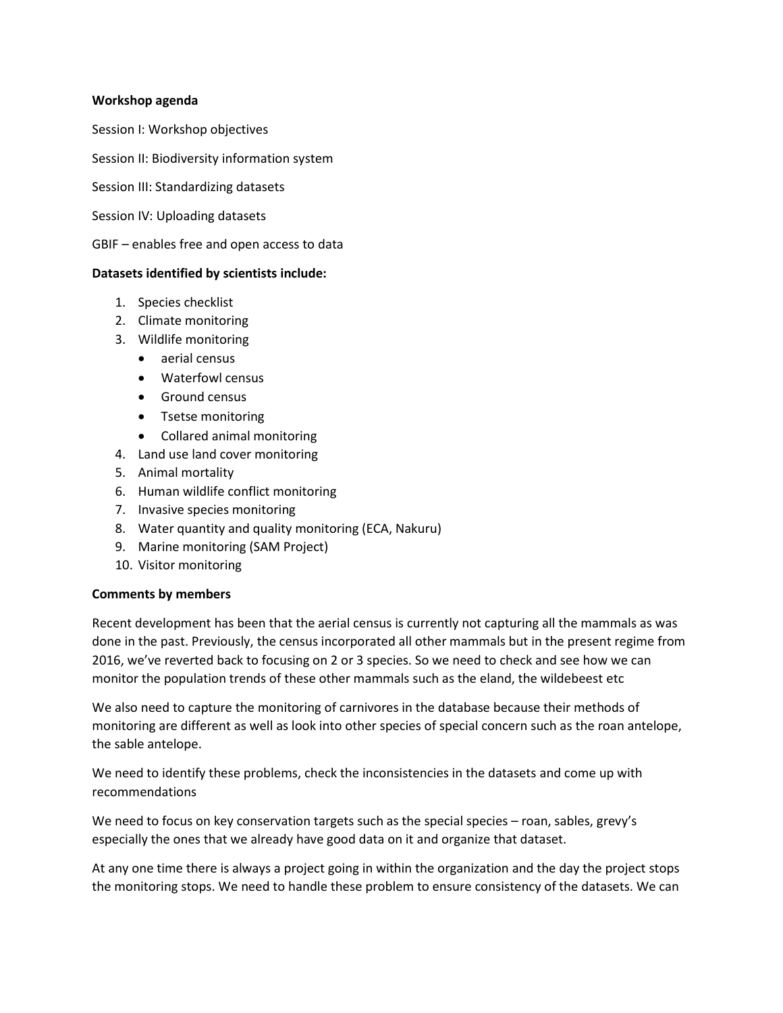#### **Workshop agenda**

Session I: Workshop objectives

Session II: Biodiversity information system

Session III: Standardizing datasets

Session IV: Uploading datasets

GBIF – enables free and open access to data

#### **Datasets identified by scientists include:**

- 1. Species checklist
- 2. Climate monitoring
- 3. Wildlife monitoring
	- aerial census
	- Waterfowl census
	- Ground census
	- Tsetse monitoring
	- Collared animal monitoring
- 4. Land use land cover monitoring
- 5. Animal mortality
- 6. Human wildlife conflict monitoring
- 7. Invasive species monitoring
- 8. Water quantity and quality monitoring (ECA, Nakuru)
- 9. Marine monitoring (SAM Project)
- 10. Visitor monitoring

## **Comments by members**

Recent development has been that the aerial census is currently not capturing all the mammals as was done in the past. Previously, the census incorporated all other mammals but in the present regime from 2016, we've reverted back to focusing on 2 or 3 species. So we need to check and see how we can monitor the population trends of these other mammals such as the eland, the wildebeest etc

We also need to capture the monitoring of carnivores in the database because their methods of monitoring are different as well as look into other species of special concern such as the roan antelope, the sable antelope.

We need to identify these problems, check the inconsistencies in the datasets and come up with recommendations

We need to focus on key conservation targets such as the special species – roan, sables, grevy's especially the ones that we already have good data on it and organize that dataset.

At any one time there is always a project going in within the organization and the day the project stops the monitoring stops. We need to handle these problem to ensure consistency of the datasets. We can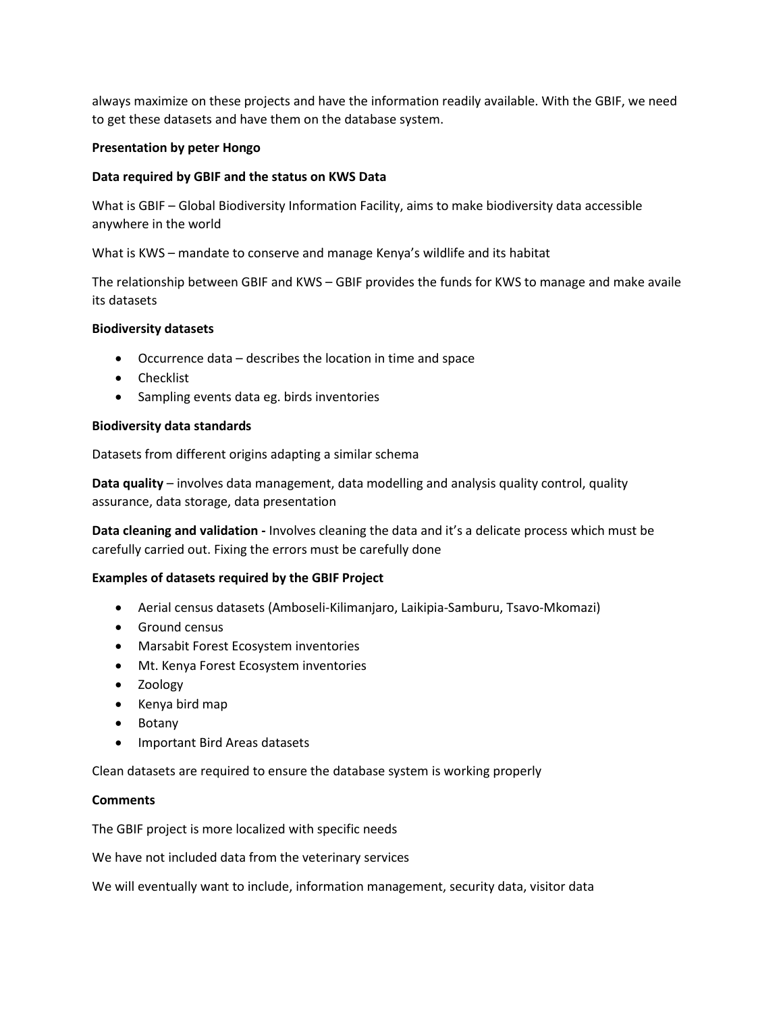always maximize on these projects and have the information readily available. With the GBIF, we need to get these datasets and have them on the database system.

## **Presentation by peter Hongo**

## **Data required by GBIF and the status on KWS Data**

What is GBIF – Global Biodiversity Information Facility, aims to make biodiversity data accessible anywhere in the world

What is KWS – mandate to conserve and manage Kenya's wildlife and its habitat

The relationship between GBIF and KWS – GBIF provides the funds for KWS to manage and make availe its datasets

## **Biodiversity datasets**

- Occurrence data describes the location in time and space
- Checklist
- Sampling events data eg. birds inventories

## **Biodiversity data standards**

Datasets from different origins adapting a similar schema

**Data quality** – involves data management, data modelling and analysis quality control, quality assurance, data storage, data presentation

**Data cleaning and validation -** Involves cleaning the data and it's a delicate process which must be carefully carried out. Fixing the errors must be carefully done

## **Examples of datasets required by the GBIF Project**

- Aerial census datasets (Amboseli-Kilimanjaro, Laikipia-Samburu, Tsavo-Mkomazi)
- **Ground census**
- Marsabit Forest Ecosystem inventories
- Mt. Kenya Forest Ecosystem inventories
- Zoology
- Kenya bird map
- Botany
- Important Bird Areas datasets

Clean datasets are required to ensure the database system is working properly

## **Comments**

The GBIF project is more localized with specific needs

We have not included data from the veterinary services

We will eventually want to include, information management, security data, visitor data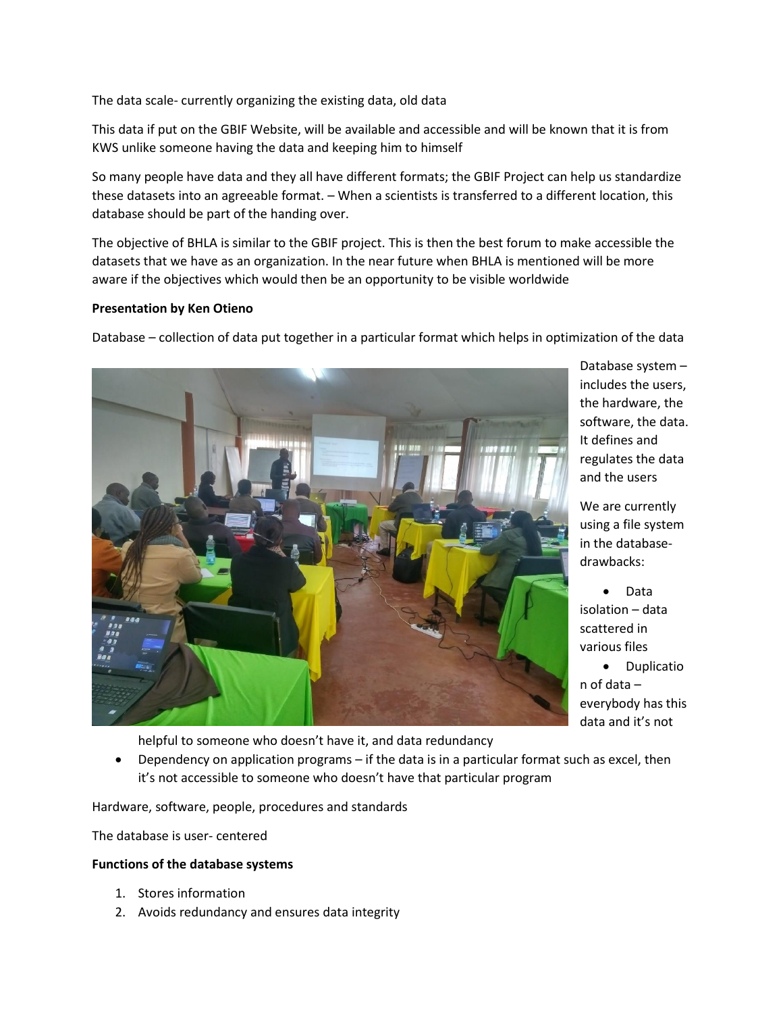The data scale- currently organizing the existing data, old data

This data if put on the GBIF Website, will be available and accessible and will be known that it is from KWS unlike someone having the data and keeping him to himself

So many people have data and they all have different formats; the GBIF Project can help us standardize these datasets into an agreeable format. – When a scientists is transferred to a different location, this database should be part of the handing over.

The objective of BHLA is similar to the GBIF project. This is then the best forum to make accessible the datasets that we have as an organization. In the near future when BHLA is mentioned will be more aware if the objectives which would then be an opportunity to be visible worldwide

#### **Presentation by Ken Otieno**

Database – collection of data put together in a particular format which helps in optimization of the data



Database system – includes the users, the hardware, the software, the data. It defines and regulates the data and the users

We are currently using a file system in the databasedrawbacks:

• Data isolation – data scattered in various files

• Duplicatio n of data – everybody has this data and it's not

helpful to someone who doesn't have it, and data redundancy

 Dependency on application programs – if the data is in a particular format such as excel, then it's not accessible to someone who doesn't have that particular program

Hardware, software, people, procedures and standards

The database is user- centered

#### **Functions of the database systems**

- 1. Stores information
- 2. Avoids redundancy and ensures data integrity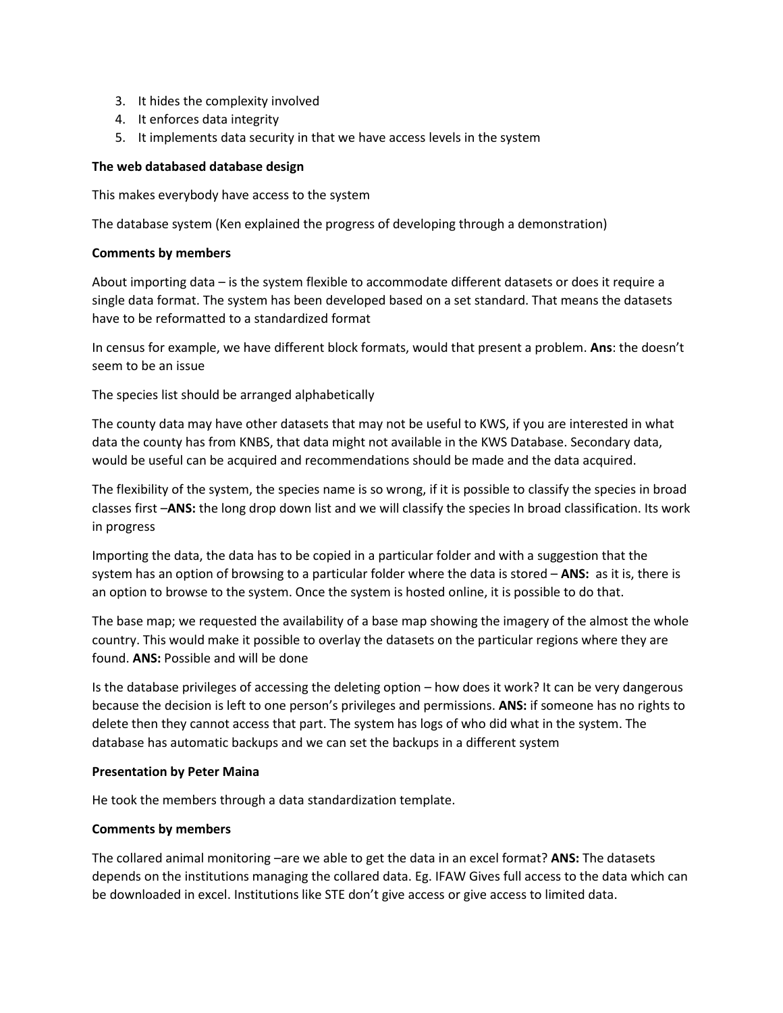- 3. It hides the complexity involved
- 4. It enforces data integrity
- 5. It implements data security in that we have access levels in the system

## **The web databased database design**

This makes everybody have access to the system

The database system (Ken explained the progress of developing through a demonstration)

## **Comments by members**

About importing data – is the system flexible to accommodate different datasets or does it require a single data format. The system has been developed based on a set standard. That means the datasets have to be reformatted to a standardized format

In census for example, we have different block formats, would that present a problem. **Ans**: the doesn't seem to be an issue

The species list should be arranged alphabetically

The county data may have other datasets that may not be useful to KWS, if you are interested in what data the county has from KNBS, that data might not available in the KWS Database. Secondary data, would be useful can be acquired and recommendations should be made and the data acquired.

The flexibility of the system, the species name is so wrong, if it is possible to classify the species in broad classes first –**ANS:** the long drop down list and we will classify the species In broad classification. Its work in progress

Importing the data, the data has to be copied in a particular folder and with a suggestion that the system has an option of browsing to a particular folder where the data is stored – **ANS:** as it is, there is an option to browse to the system. Once the system is hosted online, it is possible to do that.

The base map; we requested the availability of a base map showing the imagery of the almost the whole country. This would make it possible to overlay the datasets on the particular regions where they are found. **ANS:** Possible and will be done

Is the database privileges of accessing the deleting option – how does it work? It can be very dangerous because the decision is left to one person's privileges and permissions. **ANS:** if someone has no rights to delete then they cannot access that part. The system has logs of who did what in the system. The database has automatic backups and we can set the backups in a different system

## **Presentation by Peter Maina**

He took the members through a data standardization template.

## **Comments by members**

The collared animal monitoring –are we able to get the data in an excel format? **ANS:** The datasets depends on the institutions managing the collared data. Eg. IFAW Gives full access to the data which can be downloaded in excel. Institutions like STE don't give access or give access to limited data.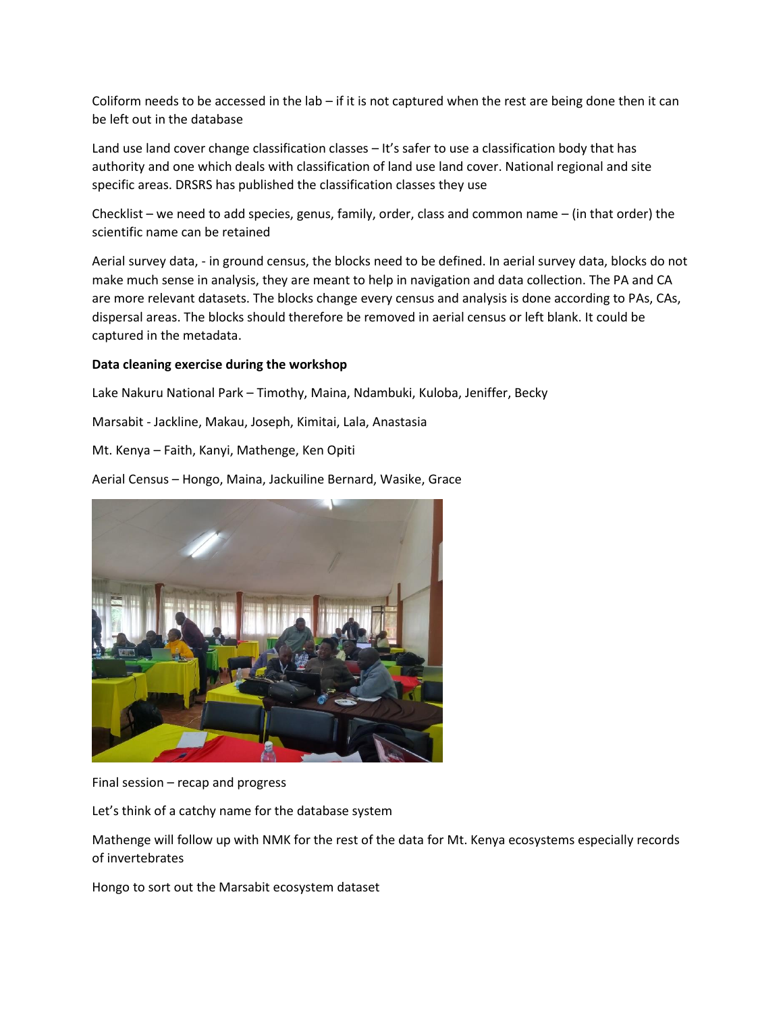Coliform needs to be accessed in the lab – if it is not captured when the rest are being done then it can be left out in the database

Land use land cover change classification classes – It's safer to use a classification body that has authority and one which deals with classification of land use land cover. National regional and site specific areas. DRSRS has published the classification classes they use

Checklist – we need to add species, genus, family, order, class and common name – (in that order) the scientific name can be retained

Aerial survey data, - in ground census, the blocks need to be defined. In aerial survey data, blocks do not make much sense in analysis, they are meant to help in navigation and data collection. The PA and CA are more relevant datasets. The blocks change every census and analysis is done according to PAs, CAs, dispersal areas. The blocks should therefore be removed in aerial census or left blank. It could be captured in the metadata.

#### **Data cleaning exercise during the workshop**

Lake Nakuru National Park – Timothy, Maina, Ndambuki, Kuloba, Jeniffer, Becky

Marsabit - Jackline, Makau, Joseph, Kimitai, Lala, Anastasia

Mt. Kenya – Faith, Kanyi, Mathenge, Ken Opiti

Aerial Census – Hongo, Maina, Jackuiline Bernard, Wasike, Grace



Final session – recap and progress

Let's think of a catchy name for the database system

Mathenge will follow up with NMK for the rest of the data for Mt. Kenya ecosystems especially records of invertebrates

Hongo to sort out the Marsabit ecosystem dataset